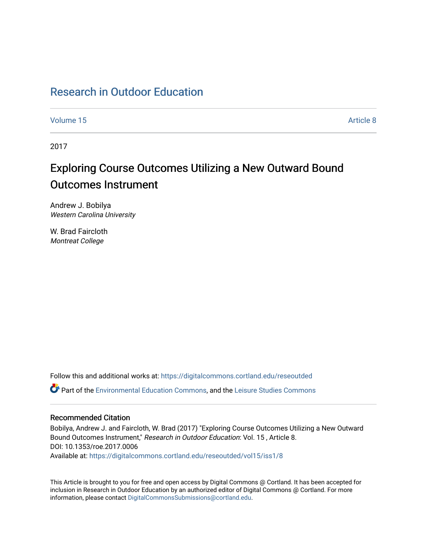# [Research in Outdoor Education](https://digitalcommons.cortland.edu/reseoutded)

[Volume 15](https://digitalcommons.cortland.edu/reseoutded/vol15) Article 8

2017

# Exploring Course Outcomes Utilizing a New Outward Bound Outcomes Instrument

Andrew J. Bobilya Western Carolina University

W. Brad Faircloth Montreat College

Follow this and additional works at: [https://digitalcommons.cortland.edu/reseoutded](https://digitalcommons.cortland.edu/reseoutded?utm_source=digitalcommons.cortland.edu%2Freseoutded%2Fvol15%2Fiss1%2F8&utm_medium=PDF&utm_campaign=PDFCoverPages) Part of the [Environmental Education Commons](http://network.bepress.com/hgg/discipline/1305?utm_source=digitalcommons.cortland.edu%2Freseoutded%2Fvol15%2Fiss1%2F8&utm_medium=PDF&utm_campaign=PDFCoverPages), and the [Leisure Studies Commons](http://network.bepress.com/hgg/discipline/1197?utm_source=digitalcommons.cortland.edu%2Freseoutded%2Fvol15%2Fiss1%2F8&utm_medium=PDF&utm_campaign=PDFCoverPages) 

# Recommended Citation

Bobilya, Andrew J. and Faircloth, W. Brad (2017) "Exploring Course Outcomes Utilizing a New Outward Bound Outcomes Instrument," Research in Outdoor Education: Vol. 15 , Article 8. DOI: 10.1353/roe.2017.0006 Available at: [https://digitalcommons.cortland.edu/reseoutded/vol15/iss1/8](https://digitalcommons.cortland.edu/reseoutded/vol15/iss1/8?utm_source=digitalcommons.cortland.edu%2Freseoutded%2Fvol15%2Fiss1%2F8&utm_medium=PDF&utm_campaign=PDFCoverPages) 

This Article is brought to you for free and open access by Digital Commons @ Cortland. It has been accepted for inclusion in Research in Outdoor Education by an authorized editor of Digital Commons @ Cortland. For more information, please contact [DigitalCommonsSubmissions@cortland.edu](mailto:DigitalCommonsSubmissions@cortland.edu).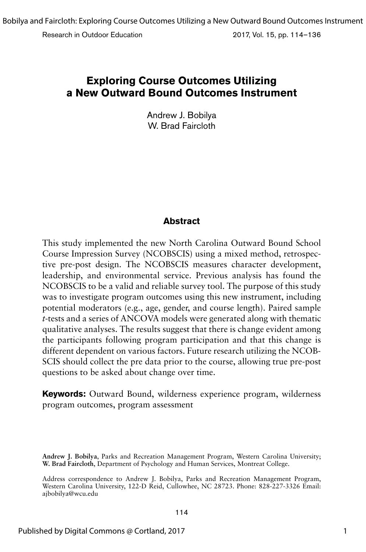Research in Outdoor Education 2017, Vol. 15, pp. 114–136

# **Exploring Course Outcomes Utilizing a New Outward Bound Outcomes Instrument**

Andrew J. Bobilya W. Brad Faircloth

# **Abstract**

This study implemented the new North Carolina Outward Bound School Course Impression Survey (NCOBSCIS) using a mixed method, retrospective pre-post design. The NCOBSCIS measures character development, leadership, and environmental service. Previous analysis has found the NCOBSCIS to be a valid and reliable survey tool. The purpose of this study was to investigate program outcomes using this new instrument, including potential moderators (e.g., age, gender, and course length). Paired sample *t*-tests and a series of ANCOVA models were generated along with thematic qualitative analyses. The results suggest that there is change evident among the participants following program participation and that this change is different dependent on various factors. Future research utilizing the NCOB-SCIS should collect the pre data prior to the course, allowing true pre-post questions to be asked about change over time.

**Keywords:** Outward Bound, wilderness experience program, wilderness program outcomes, program assessment

**Andrew J. Bobilya**, Parks and Recreation Management Program, Western Carolina University; **W. Brad Faircloth**, Department of Psychology and Human Services, Montreat College.

Address correspondence to Andrew J. Bobilya, Parks and Recreation Management Program, Western Carolina University, 122-D Reid, Cullowhee, NC 28723. Phone: 828-227-3326 Email: ajbobilya@wcu.edu

114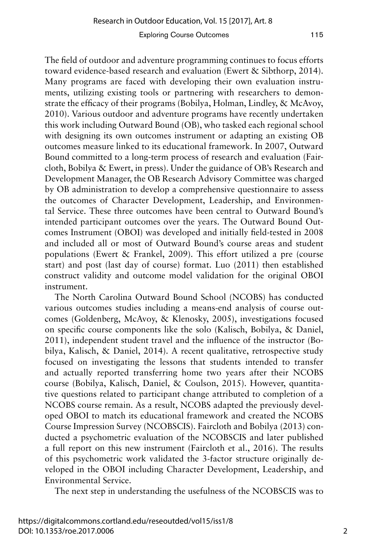The field of outdoor and adventure programming continues to focus efforts toward evidence-based research and evaluation (Ewert & Sibthorp, 2014). Many programs are faced with developing their own evaluation instruments, utilizing existing tools or partnering with researchers to demonstrate the efficacy of their programs (Bobilya, Holman, Lindley, & McAvoy, 2010). Various outdoor and adventure programs have recently undertaken this work including Outward Bound (OB), who tasked each regional school with designing its own outcomes instrument or adapting an existing OB outcomes measure linked to its educational framework. In 2007, Outward Bound committed to a long-term process of research and evaluation (Faircloth, Bobilya & Ewert, in press). Under the guidance of OB's Research and Development Manager, the OB Research Advisory Committee was charged by OB administration to develop a comprehensive questionnaire to assess the outcomes of Character Development, Leadership, and Environmental Service. These three outcomes have been central to Outward Bound's intended participant outcomes over the years. The Outward Bound Outcomes Instrument (OBOI) was developed and initially field-tested in 2008 and included all or most of Outward Bound's course areas and student populations (Ewert & Frankel, 2009). This effort utilized a pre (course start) and post (last day of course) format. Luo (2011) then established construct validity and outcome model validation for the original OBOI instrument.

The North Carolina Outward Bound School (NCOBS) has conducted various outcomes studies including a means-end analysis of course outcomes (Goldenberg, McAvoy, & Klenosky, 2005), investigations focused on specific course components like the solo (Kalisch, Bobilya, & Daniel, 2011), independent student travel and the influence of the instructor (Bobilya, Kalisch, & Daniel, 2014). A recent qualitative, retrospective study focused on investigating the lessons that students intended to transfer and actually reported transferring home two years after their NCOBS course (Bobilya, Kalisch, Daniel, & Coulson, 2015). However, quantitative questions related to participant change attributed to completion of a NCOBS course remain. As a result, NCOBS adapted the previously developed OBOI to match its educational framework and created the NCOBS Course Impression Survey (NCOBSCIS). Faircloth and Bobilya (2013) conducted a psychometric evaluation of the NCOBSCIS and later published a full report on this new instrument (Faircloth et al., 2016). The results of this psychometric work validated the 3-factor structure originally developed in the OBOI including Character Development, Leadership, and Environmental Service.

The next step in understanding the usefulness of the NCOBSCIS was to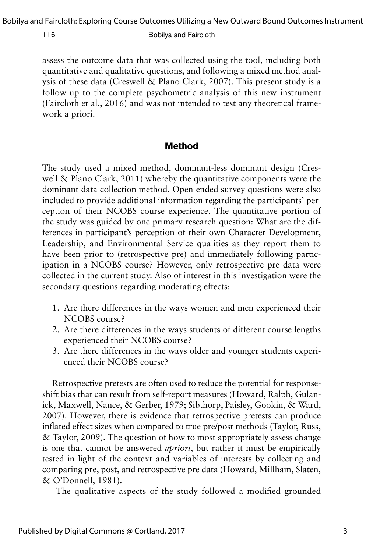assess the outcome data that was collected using the tool, including both quantitative and qualitative questions, and following a mixed method analysis of these data (Creswell & Plano Clark, 2007). This present study is a follow-up to the complete psychometric analysis of this new instrument (Faircloth et al., 2016) and was not intended to test any theoretical framework a priori.

## **Method**

The study used a mixed method, dominant-less dominant design (Creswell & Plano Clark, 2011) whereby the quantitative components were the dominant data collection method. Open-ended survey questions were also included to provide additional information regarding the participants' perception of their NCOBS course experience. The quantitative portion of the study was guided by one primary research question: What are the differences in participant's perception of their own Character Development, Leadership, and Environmental Service qualities as they report them to have been prior to (retrospective pre) and immediately following participation in a NCOBS course? However, only retrospective pre data were collected in the current study. Also of interest in this investigation were the secondary questions regarding moderating effects:

- 1. Are there differences in the ways women and men experienced their NCOBS course?
- 2. Are there differences in the ways students of different course lengths experienced their NCOBS course?
- 3. Are there differences in the ways older and younger students experienced their NCOBS course?

Retrospective pretests are often used to reduce the potential for responseshift bias that can result from self-report measures (Howard, Ralph, Gulanick, Maxwell, Nance, & Gerber, 1979; Sibthorp, Paisley, Gookin, & Ward, 2007). However, there is evidence that retrospective pretests can produce inflated effect sizes when compared to true pre/post methods (Taylor, Russ, & Taylor, 2009). The question of how to most appropriately assess change is one that cannot be answered *apriori*, but rather it must be empirically tested in light of the context and variables of interests by collecting and comparing pre, post, and retrospective pre data (Howard, Millham, Slaten, & O'Donnell, 1981).

The qualitative aspects of the study followed a modified grounded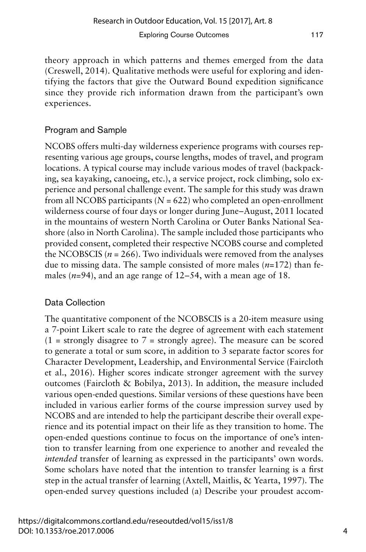theory approach in which patterns and themes emerged from the data (Creswell, 2014). Qualitative methods were useful for exploring and identifying the factors that give the Outward Bound expedition significance since they provide rich information drawn from the participant's own experiences.

# Program and Sample

NCOBS offers multi-day wilderness experience programs with courses representing various age groups, course lengths, modes of travel, and program locations. A typical course may include various modes of travel (backpacking, sea kayaking, canoeing, etc.), a service project, rock climbing, solo experience and personal challenge event. The sample for this study was drawn from all NCOBS participants  $(N = 622)$  who completed an open-enrollment wilderness course of four days or longer during June–August, 2011 located in the mountains of western North Carolina or Outer Banks National Seashore (also in North Carolina). The sample included those participants who provided consent, completed their respective NCOBS course and completed the NCOBSCIS ( $n = 266$ ). Two individuals were removed from the analyses due to missing data. The sample consisted of more males (*n*=172) than females  $(n=94)$ , and an age range of  $12-54$ , with a mean age of 18.

# Data Collection

The quantitative component of the NCOBSCIS is a 20-item measure using a 7-point Likert scale to rate the degree of agreement with each statement  $(1 =$  strongly disagree to  $7 =$  strongly agree). The measure can be scored to generate a total or sum score, in addition to 3 separate factor scores for Character Development, Leadership, and Environmental Service (Faircloth et al., 2016). Higher scores indicate stronger agreement with the survey outcomes (Faircloth & Bobilya, 2013). In addition, the measure included various open-ended questions. Similar versions of these questions have been included in various earlier forms of the course impression survey used by NCOBS and are intended to help the participant describe their overall experience and its potential impact on their life as they transition to home. The open-ended questions continue to focus on the importance of one's intention to transfer learning from one experience to another and revealed the *intended* transfer of learning as expressed in the participants' own words. Some scholars have noted that the intention to transfer learning is a first step in the actual transfer of learning (Axtell, Maitlis, & Yearta, 1997). The open-ended survey questions included (a) Describe your proudest accom-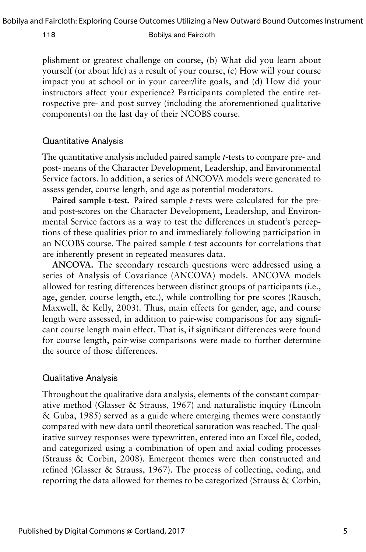plishment or greatest challenge on course, (b) What did you learn about yourself (or about life) as a result of your course, (c) How will your course impact you at school or in your career/life goals, and (d) How did your instructors affect your experience? Participants completed the entire retrospective pre- and post survey (including the aforementioned qualitative components) on the last day of their NCOBS course.

## Quantitative Analysis

The quantitative analysis included paired sample *t*-tests to compare pre- and post- means of the Character Development, Leadership, and Environmental Service factors. In addition, a series of ANCOVA models were generated to assess gender, course length, and age as potential moderators.

**Paired sample t-test.** Paired sample *t*-tests were calculated for the preand post-scores on the Character Development, Leadership, and Environmental Service factors as a way to test the differences in student's perceptions of these qualities prior to and immediately following participation in an NCOBS course. The paired sample *t*-test accounts for correlations that are inherently present in repeated measures data.

**ANCOVA.** The secondary research questions were addressed using a series of Analysis of Covariance (ANCOVA) models. ANCOVA models allowed for testing differences between distinct groups of participants (i.e., age, gender, course length, etc.), while controlling for pre scores (Rausch, Maxwell, & Kelly, 2003). Thus, main effects for gender, age, and course length were assessed, in addition to pair-wise comparisons for any significant course length main effect. That is, if significant differences were found for course length, pair-wise comparisons were made to further determine the source of those differences.

### Qualitative Analysis

Throughout the qualitative data analysis, elements of the constant comparative method (Glasser & Strauss, 1967) and naturalistic inquiry (Lincoln & Guba, 1985) served as a guide where emerging themes were constantly compared with new data until theoretical saturation was reached. The qualitative survey responses were typewritten, entered into an Excel file, coded, and categorized using a combination of open and axial coding processes (Strauss & Corbin, 2008). Emergent themes were then constructed and refined (Glasser & Strauss, 1967). The process of collecting, coding, and reporting the data allowed for themes to be categorized (Strauss & Corbin,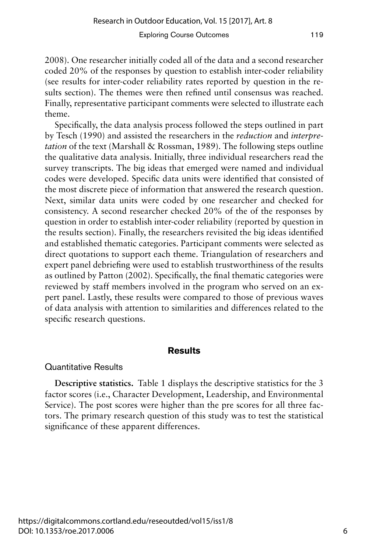2008). One researcher initially coded all of the data and a second researcher coded 20% of the responses by question to establish inter-coder reliability (see results for inter-coder reliability rates reported by question in the results section). The themes were then refined until consensus was reached. Finally, representative participant comments were selected to illustrate each theme.

Specifically, the data analysis process followed the steps outlined in part by Tesch (1990) and assisted the researchers in the *reduction* and *interpretation* of the text (Marshall & Rossman, 1989). The following steps outline the qualitative data analysis. Initially, three individual researchers read the survey transcripts. The big ideas that emerged were named and individual codes were developed. Specific data units were identified that consisted of the most discrete piece of information that answered the research question. Next, similar data units were coded by one researcher and checked for consistency. A second researcher checked 20% of the of the responses by question in order to establish inter-coder reliability (reported by question in the results section). Finally, the researchers revisited the big ideas identified and established thematic categories. Participant comments were selected as direct quotations to support each theme. Triangulation of researchers and expert panel debriefing were used to establish trustworthiness of the results as outlined by Patton (2002). Specifically, the final thematic categories were reviewed by staff members involved in the program who served on an expert panel. Lastly, these results were compared to those of previous waves of data analysis with attention to similarities and differences related to the specific research questions.

## **Results**

### Quantitative Results

**Descriptive statistics.** Table 1 displays the descriptive statistics for the 3 factor scores (i.e., Character Development, Leadership, and Environmental Service). The post scores were higher than the pre scores for all three factors. The primary research question of this study was to test the statistical significance of these apparent differences.

6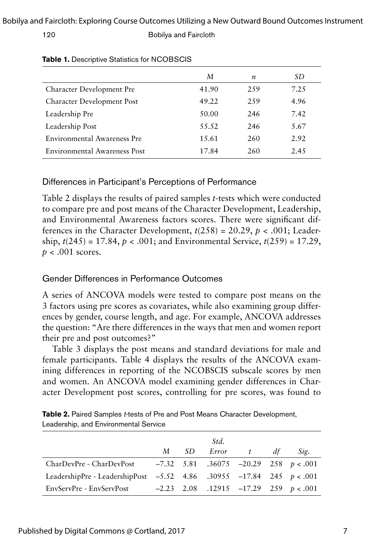### Bobilya and Faircloth: Exploring Course Outcomes Utilizing a New Outward Bound Outcomes Instrument

#### 120 Bobilya and Faircloth

|                                    | M     | $\boldsymbol{n}$ | SD   |
|------------------------------------|-------|------------------|------|
| Character Development Pre          | 41.90 | 259              | 7.25 |
| Character Development Post         | 49.22 | 259              | 4.96 |
| Leadership Pre                     | 50.00 | 246              | 7.42 |
| Leadership Post                    | 55.52 | 246              | 5.67 |
| <b>Environmental Awareness Pre</b> | 15.61 | 260              | 2.92 |
| Environmental Awareness Post       | 17.84 | 260              | 2.45 |

#### **Table 1.** Descriptive Statistics for NCOBSCIS

# Differences in Participant's Perceptions of Performance

Table 2 displays the results of paired samples *t*-tests which were conducted to compare pre and post means of the Character Development, Leadership, and Environmental Awareness factors scores. There were significant differences in the Character Development,  $t(258) = 20.29$ ,  $p < .001$ ; Leadership, *t*(245) = 17.84, *p* < .001; and Environmental Service, *t*(259) = 17.29, *p* < .001 scores.

# Gender Differences in Performance Outcomes

A series of ANCOVA models were tested to compare post means on the 3 factors using pre scores as covariates, while also examining group differences by gender, course length, and age. For example, ANCOVA addresses the question: "Are there differences in the ways that men and women report their pre and post outcomes?"

Table 3 displays the post means and standard deviations for male and female participants. Table 4 displays the results of the ANCOVA examining differences in reporting of the NCOBSCIS subscale scores by men and women. An ANCOVA model examining gender differences in Character Development post scores, controlling for pre scores, was found to

| Table 2. Paired Samples t-tests of Pre and Post Means Character Development, |
|------------------------------------------------------------------------------|
| Leadership, and Environmental Service                                        |

|                                                                        |     | Std.       |    |                                             |
|------------------------------------------------------------------------|-----|------------|----|---------------------------------------------|
|                                                                        | M — | SD Error t | dt | Sig.                                        |
| CharDevPre - CharDevPost $-7.32$ 5.81 .36075 -20.29 258 $p < .001$     |     |            |    |                                             |
| LeadershipPre - LeadershipPost -5.52 4.86 .30955 -17.84 245 $p < .001$ |     |            |    |                                             |
| EnvServPre - EnvServPost                                               |     |            |    | $-2.23$ 2.08 .12915 $-17.29$ 259 $p < .001$ |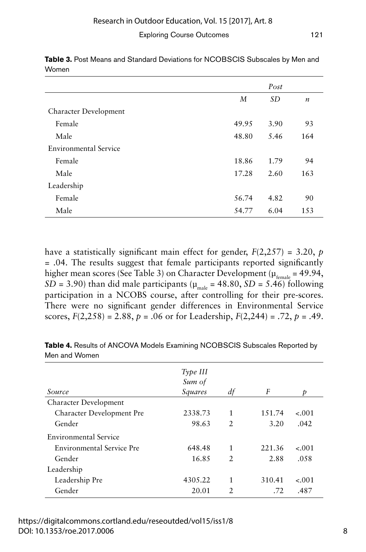|                       | Post  |           |                  |
|-----------------------|-------|-----------|------------------|
|                       | M     | <i>SD</i> | $\boldsymbol{n}$ |
| Character Development |       |           |                  |
| Female                | 49.95 | 3.90      | 93               |
| Male                  | 48.80 | 5.46      | 164              |
| Environmental Service |       |           |                  |
| Female                | 18.86 | 1.79      | 94               |
| Male                  | 17.28 | 2.60      | 163              |
| Leadership            |       |           |                  |
| Female                | 56.74 | 4.82      | 90               |
| Male                  | 54.77 | 6.04      | 153              |

Table 3. Post Means and Standard Deviations for NCOBSCIS Subscales by Men and Women

have a statistically significant main effect for gender, *F*(2,257) = 3.20, *p* = .04. The results suggest that female participants reported significantly higher mean scores (See Table 3) on Character Development ( $\mu_{\text{femole}} = 49.94$ , *SD* = 3.90) than did male participants ( $\mu_{mab}$  = 48.80, *SD* = 5.46) following participation in a NCOBS course, after controlling for their pre-scores. There were no significant gender differences in Environmental Service scores,  $F(2,258) = 2.88$ ,  $p = .06$  or for Leadership,  $F(2,244) = .72$ ,  $p = .49$ .

|                                  | Type III<br>Sum of |                |        |         |
|----------------------------------|--------------------|----------------|--------|---------|
| Source                           | Squares            | df             | F      | Ð       |
| Character Development            |                    |                |        |         |
| Character Development Pre        | 2338.73            | 1              | 151.74 | $-.001$ |
| Gender                           | 98.63              | $\mathfrak{D}$ | 3.20   | .042    |
| Environmental Service            |                    |                |        |         |
| <b>Environmental Service Pre</b> | 648.48             | 1              | 221.36 | $-.001$ |
| Gender                           | 16.85              | $\mathfrak{D}$ | 2.88   | .058    |
| Leadership                       |                    |                |        |         |
| Leadership Pre                   | 4305.22            | 1              | 310.41 | $-.001$ |
| Gender                           | 20.01              | $\mathfrak{D}$ | .72    | .487    |

**Table 4.** Results of ANCOVA Models Examining NCOBSCIS Subscales Reported by Men and Women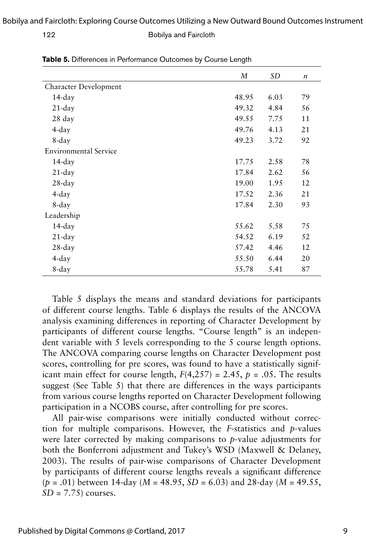|                              | M     | SD   | $\boldsymbol{n}$ |
|------------------------------|-------|------|------------------|
| Character Development        |       |      |                  |
| 14-day                       | 48.95 | 6.03 | 79               |
| $21$ -day                    | 49.32 | 4.84 | 56               |
| 28 day                       | 49.55 | 7.75 | 11               |
| $4$ -day                     | 49.76 | 4.13 | 21               |
| 8-day                        | 49.23 | 3.72 | 92               |
| <b>Environmental Service</b> |       |      |                  |
| 14-day                       | 17.75 | 2.58 | 78               |
| $21$ -day                    | 17.84 | 2.62 | 56               |
| $28$ -day                    | 19.00 | 1.95 | 12               |
| 4-day                        | 17.52 | 2.36 | 21               |
| 8-day                        | 17.84 | 2.30 | 93               |
| Leadership                   |       |      |                  |
| 14-day                       | 55.62 | 5.58 | 75               |
| $21$ -day                    | 54.52 | 6.19 | 52               |
| $28$ -day                    | 57.42 | 4.46 | 12               |
| $4$ -day                     | 55.50 | 6.44 | 20               |
| 8-day                        | 55.78 | 5.41 | 87               |

**Table 5.** Differences in Performance Outcomes by Course Length

Table 5 displays the means and standard deviations for participants of different course lengths. Table 6 displays the results of the ANCOVA analysis examining differences in reporting of Character Development by participants of different course lengths. "Course length" is an independent variable with 5 levels corresponding to the 5 course length options. The ANCOVA comparing course lengths on Character Development post scores, controlling for pre scores, was found to have a statistically significant main effect for course length,  $F(4,257) = 2.45$ ,  $p = .05$ . The results suggest (See Table 5) that there are differences in the ways participants from various course lengths reported on Character Development following participation in a NCOBS course, after controlling for pre scores.

All pair-wise comparisons were initially conducted without correction for multiple comparisons. However, the *F*-statistics and *p*-values were later corrected by making comparisons to *p*-value adjustments for both the Bonferroni adjustment and Tukey's WSD (Maxwell & Delaney, 2003). The results of pair-wise comparisons of Character Development by participants of different course lengths reveals a significant difference (*p* = .01) between 14-day (*M* = 48.95, *SD* = 6.03) and 28-day (*M* = 49.55, *SD* = 7.75) courses.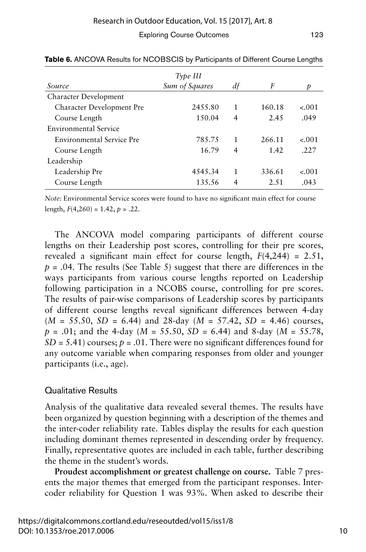|                           | Type III       |                |        |         |
|---------------------------|----------------|----------------|--------|---------|
| Source                    | Sum of Squares | df             | F      | Þ       |
| Character Development     |                |                |        |         |
| Character Development Pre | 2455.80        | 1              | 160.18 | $-.001$ |
| Course Length             | 1.50.04        | $\overline{4}$ | 2.45   | .049    |
| Environmental Service     |                |                |        |         |
| Environmental Service Pre | 785.75         | 1              | 266.11 | $-.001$ |
| Course Length             | 16.79          | $\overline{4}$ | 1.42   | .227    |
| Leadership                |                |                |        |         |
| Leadership Pre            | 4545.34        | 1              | 336.61 | $-.001$ |
| Course Length             | 135.56         | 4              | 2.51   | .043    |

**Table 6.** ANCOVA Results for NCOBSCIS by Participants of Different Course Lengths

*Note:* Environmental Service scores were found to have no significant main effect for course length,  $F(4,260) = 1.42$ ,  $p = .22$ .

The ANCOVA model comparing participants of different course lengths on their Leadership post scores, controlling for their pre scores, revealed a significant main effect for course length,  $F(4,244) = 2.51$ , *p* = .04. The results (See Table 5) suggest that there are differences in the ways participants from various course lengths reported on Leadership following participation in a NCOBS course, controlling for pre scores. The results of pair-wise comparisons of Leadership scores by participants of different course lengths reveal significant differences between 4-day  $(M = 55.50, SD = 6.44)$  and 28-day  $(M = 57.42, SD = 4.46)$  courses, *p* = .01; and the 4-day (*M* = 55.50, *SD* = 6.44) and 8-day (*M* = 55.78,  $SD = 5.41$ ) courses;  $p = .01$ . There were no significant differences found for any outcome variable when comparing responses from older and younger participants (i.e., age).

# Qualitative Results

Analysis of the qualitative data revealed several themes. The results have been organized by question beginning with a description of the themes and the inter-coder reliability rate. Tables display the results for each question including dominant themes represented in descending order by frequency. Finally, representative quotes are included in each table, further describing the theme in the student's words.

**Proudest accomplishment or greatest challenge on course.** Table 7 presents the major themes that emerged from the participant responses. Intercoder reliability for Question 1 was 93%. When asked to describe their

10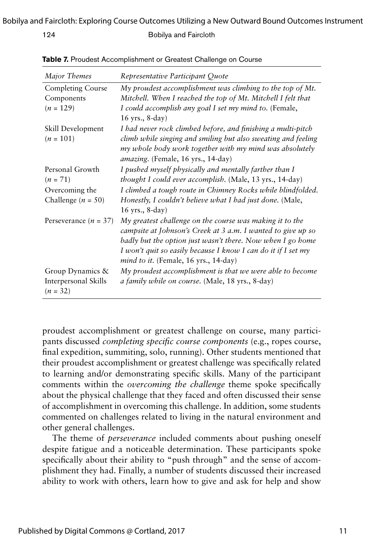| Major Themes                                           | Representative Participant Quote                                                                                                                                                                                                                                                                        |
|--------------------------------------------------------|---------------------------------------------------------------------------------------------------------------------------------------------------------------------------------------------------------------------------------------------------------------------------------------------------------|
| Completing Course                                      | My proudest accomplishment was climbing to the top of Mt.                                                                                                                                                                                                                                               |
| Components                                             | Mitchell. When I reached the top of Mt. Mitchell I felt that                                                                                                                                                                                                                                            |
| $(n = 129)$                                            | I could accomplish any goal I set my mind to. (Female,<br>16 yrs., 8-day)                                                                                                                                                                                                                               |
| Skill Development<br>$(n = 101)$                       | I had never rock climbed before, and finishing a multi-pitch<br>climb while singing and smiling but also sweating and feeling<br>my whole body work together with my mind was absolutely<br>amazing. (Female, 16 yrs., 14-day)                                                                          |
| Personal Growth                                        | I pushed myself physically and mentally farther than I                                                                                                                                                                                                                                                  |
| $(n = 71)$                                             | thought I could ever accomplish. (Male, 13 yrs., 14-day)                                                                                                                                                                                                                                                |
| Overcoming the                                         | I climbed a tough route in Chimney Rocks while blindfolded.                                                                                                                                                                                                                                             |
| Challenge $(n = 50)$                                   | Honestly, I couldn't believe what I had just done. (Male,<br>16 yrs., 8-day)                                                                                                                                                                                                                            |
| Perseverance $(n = 37)$                                | My greatest challenge on the course was making it to the<br>campsite at Johnson's Creek at 3 a.m. I wanted to give up so<br>badly but the option just wasn't there. Now when I go home<br>I won't quit so easily because I know I can do it if I set my<br><i>mind to it.</i> (Female, 16 yrs., 14-day) |
| Group Dynamics &<br>Interpersonal Skills<br>$(n = 32)$ | My proudest accomplishment is that we were able to become<br><i>a family while on course.</i> (Male, 18 yrs., 8-day)                                                                                                                                                                                    |

**Table 7.** Proudest Accomplishment or Greatest Challenge on Course

proudest accomplishment or greatest challenge on course, many participants discussed *completing specific course components* (e.g., ropes course, final expedition, summiting, solo, running). Other students mentioned that their proudest accomplishment or greatest challenge was specifically related to learning and/or demonstrating specific skills. Many of the participant comments within the *overcoming the challenge* theme spoke specifically about the physical challenge that they faced and often discussed their sense of accomplishment in overcoming this challenge. In addition, some students commented on challenges related to living in the natural environment and other general challenges.

The theme of *perseverance* included comments about pushing oneself despite fatigue and a noticeable determination. These participants spoke specifically about their ability to "push through" and the sense of accomplishment they had. Finally, a number of students discussed their increased ability to work with others, learn how to give and ask for help and show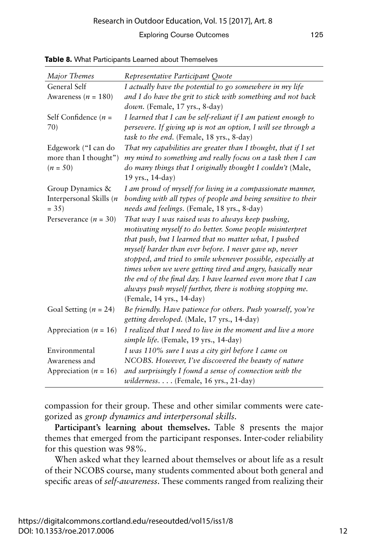| Major Themes              | Representative Participant Quote                                                                            |
|---------------------------|-------------------------------------------------------------------------------------------------------------|
| General Self              | I actually have the potential to go somewhere in my life                                                    |
| Awareness ( $n = 180$ )   | and I do have the grit to stick with something and not back                                                 |
|                           | $down$ . (Female, 17 yrs., 8-day)                                                                           |
| Self Confidence $(n =$    | I learned that I can be self-reliant if I am patient enough to                                              |
| 70)                       | persevere. If giving up is not an option, I will see through a<br>task to the end. (Female, 18 yrs., 8-day) |
| Edgework ("I can do       | That my capabilities are greater than I thought, that if I set                                              |
| more than I thought")     | my mind to something and really focus on a task then I can                                                  |
| $(n = 50)$                | do many things that I originally thought I couldn't (Male,                                                  |
|                           | 19 yrs., 14-day)                                                                                            |
| Group Dynamics &          | I am proud of myself for living in a compassionate manner,                                                  |
| Interpersonal Skills (n   | bonding with all types of people and being sensitive to their                                               |
| $= 35$                    | needs and feelings. (Female, 18 yrs., 8-day)                                                                |
| Perseverance $(n = 30)$   | That way I was raised was to always keep pushing,                                                           |
|                           | motivating myself to do better. Some people misinterpret                                                    |
|                           | that push, but I learned that no matter what, I pushed                                                      |
|                           | myself harder than ever before. I never gave up, never                                                      |
|                           | stopped, and tried to smile whenever possible, especially at                                                |
|                           | times when we were getting tired and angry, basically near                                                  |
|                           | the end of the final day. I have learned even more that I can                                               |
|                           | always push myself further, there is nothing stopping me.                                                   |
|                           | (Female, 14 yrs., 14-day)                                                                                   |
| Goal Setting ( $n = 24$ ) | Be friendly. Have patience for others. Push yourself, you're                                                |
|                           | getting developed. (Male, 17 yrs., 14-day)                                                                  |
| Appreciation ( $n = 16$ ) | I realized that I need to live in the moment and live a more                                                |
|                           | simple life. (Female, 19 yrs., 14-day)                                                                      |
| Environmental             | I was 110% sure I was a city girl before I came on                                                          |
| Awareness and             | NCOBS. However, I've discovered the beauty of nature                                                        |
| Appreciation ( $n = 16$ ) | and surprisingly I found a sense of connection with the                                                     |
|                           | wilderness. (Female, 16 yrs., 21-day)                                                                       |

**Table 8.** What Participants Learned about Themselves

compassion for their group. These and other similar comments were categorized as *group dynamics and interpersonal skills.* 

**Participant's learning about themselves.** Table 8 presents the major themes that emerged from the participant responses. Inter-coder reliability for this question was 98%.

When asked what they learned about themselves or about life as a result of their NCOBS course, many students commented about both general and specific areas of *self-awareness*. These comments ranged from realizing their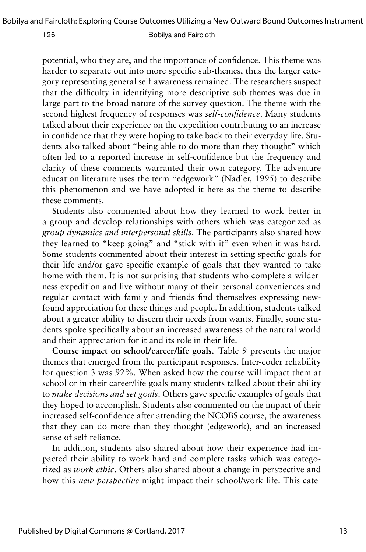potential, who they are, and the importance of confidence. This theme was harder to separate out into more specific sub-themes, thus the larger category representing general self-awareness remained. The researchers suspect that the difficulty in identifying more descriptive sub-themes was due in large part to the broad nature of the survey question. The theme with the second highest frequency of responses was *self-confidence*. Many students talked about their experience on the expedition contributing to an increase in confidence that they were hoping to take back to their everyday life. Students also talked about "being able to do more than they thought" which often led to a reported increase in self-confidence but the frequency and clarity of these comments warranted their own category. The adventure education literature uses the term "edgework" (Nadler, 1995) to describe this phenomenon and we have adopted it here as the theme to describe these comments.

Students also commented about how they learned to work better in a group and develop relationships with others which was categorized as *group dynamics and interpersonal skills*. The participants also shared how they learned to "keep going" and "stick with it" even when it was hard. Some students commented about their interest in setting specific goals for their life and/or gave specific example of goals that they wanted to take home with them. It is not surprising that students who complete a wilderness expedition and live without many of their personal conveniences and regular contact with family and friends find themselves expressing newfound appreciation for these things and people. In addition, students talked about a greater ability to discern their needs from wants. Finally, some students spoke specifically about an increased awareness of the natural world and their appreciation for it and its role in their life.

**Course impact on school/career/life goals.** Table 9 presents the major themes that emerged from the participant responses. Inter-coder reliability for question 3 was 92%. When asked how the course will impact them at school or in their career/life goals many students talked about their ability to *make decisions and set goals*. Others gave specific examples of goals that they hoped to accomplish. Students also commented on the impact of their increased self-confidence after attending the NCOBS course, the awareness that they can do more than they thought (edgework), and an increased sense of self-reliance.

In addition, students also shared about how their experience had impacted their ability to work hard and complete tasks which was categorized as *work ethic*. Others also shared about a change in perspective and how this *new perspective* might impact their school/work life. This cate-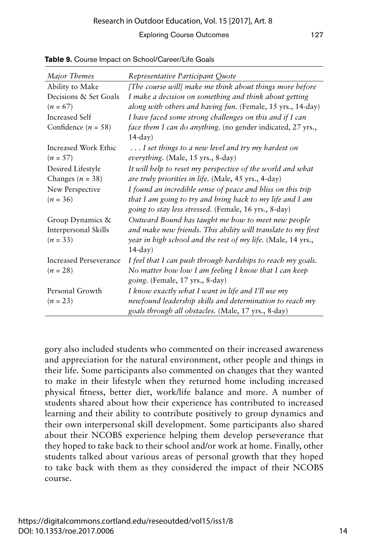| Major Themes                       | Representative Participant Quote                                                                                   |
|------------------------------------|--------------------------------------------------------------------------------------------------------------------|
| Ability to Make                    | [The course will] make me think about things more before                                                           |
| Decisions & Set Goals              | I make a decision on something and think about getting                                                             |
| $(n = 67)$                         | along with others and having fun. (Female, 15 yrs., 14-day)                                                        |
| Increased Self                     | I have faced some strong challenges on this and if I can                                                           |
| Confidence $(n = 58)$              | face them I can do anything. (no gender indicated, 27 yrs.,<br>$14$ -day)                                          |
| Increased Work Ethic<br>$(n = 57)$ | I set things to a new level and try my hardest on<br>everything. (Male, 15 yrs., 8-day)                            |
| Desired Lifestyle                  | It will help to reset my perspective of the world and what                                                         |
| Changes ( $n = 38$ )               | are truly priorities in life. (Male, 45 yrs., 4-day)                                                               |
| New Perspective                    | I found an incredible sense of peace and bliss on this trip                                                        |
| $(n = 36)$                         | that I am going to try and bring back to my life and I am<br>going to stay less stressed. (Female, 16 yrs., 8-day) |
| Group Dynamics &                   | Outward Bound has taught me how to meet new people                                                                 |
| Interpersonal Skills               | and make new friends. This ability will translate to my first                                                      |
| $(n = 33)$                         | year in high school and the rest of my life. (Male, 14 yrs.,                                                       |
|                                    | $14$ -day)                                                                                                         |
| Increased Perseverance             | I feel that I can push through hardships to reach my goals.                                                        |
| $(n = 28)$                         | No matter how low I am feeling I know that I can keep<br>going. (Female, 17 yrs., 8-day)                           |
| Personal Growth                    | I know exactly what I want in life and I'll use my                                                                 |
| $(n = 23)$                         | newfound leadership skills and determination to reach my                                                           |
|                                    | goals through all obstacles. (Male, 17 yrs., 8-day)                                                                |

**Table 9.** Course Impact on School/Career/Life Goals

gory also included students who commented on their increased awareness and appreciation for the natural environment, other people and things in their life. Some participants also commented on changes that they wanted to make in their lifestyle when they returned home including increased physical fitness, better diet, work/life balance and more. A number of students shared about how their experience has contributed to increased learning and their ability to contribute positively to group dynamics and their own interpersonal skill development. Some participants also shared about their NCOBS experience helping them develop perseverance that they hoped to take back to their school and/or work at home. Finally, other students talked about various areas of personal growth that they hoped to take back with them as they considered the impact of their NCOBS course.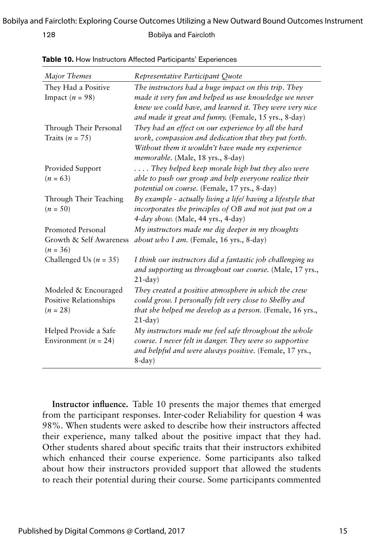#### Bobilya and Faircloth: Exploring Course Outcomes Utilizing a New Outward Bound Outcomes Instrument

128 Bobilya and Faircloth

| Major Themes                          | Representative Participant Quote                                                                                 |
|---------------------------------------|------------------------------------------------------------------------------------------------------------------|
| They Had a Positive                   | The instructors had a huge impact on this trip. They                                                             |
| Impact ( $n = 98$ )                   | made it very fun and helped us use knowledge we never                                                            |
|                                       | knew we could have, and learned it. They were very nice<br>and made it great and funny. (Female, 15 yrs., 8-day) |
| Through Their Personal                | They had an effect on our experience by all the hard                                                             |
| Traits ( $n = 75$ )                   | work, compassion and dedication that they put forth.                                                             |
|                                       | Without them it wouldn't have made my experience<br>memorable. (Male, 18 yrs., 8-day)                            |
| Provided Support                      | They helped keep morale high but they also were                                                                  |
| $(n = 63)$                            | able to push our group and help everyone realize their                                                           |
|                                       | <i>potential on course.</i> (Female, 17 yrs., 8-day)                                                             |
| Through Their Teaching                | By example - actually living a life/ having a lifestyle that                                                     |
| $(n = 50)$                            | incorporates the principles of OB and not just put on a                                                          |
|                                       | 4-day show. (Male, 44 yrs., 4-day)                                                                               |
| Promoted Personal                     | My instructors made me dig deeper in my thoughts                                                                 |
| Growth & Self Awareness<br>$(n = 36)$ | about who I am. (Female, 16 yrs., 8-day)                                                                         |
| Challenged Us ( $n = 35$ )            | I think our instructors did a fantastic job challenging us                                                       |
|                                       | and supporting us throughout our course. (Male, 17 yrs.,<br>$21$ -day)                                           |
| Modeled & Encouraged                  | They created a positive atmosphere in which the crew                                                             |
| Positive Relationships                | could grow. I personally felt very close to Shelby and                                                           |
| $(n = 28)$                            | <i>that she helped me develop as a person.</i> (Female, 16 yrs.,                                                 |
|                                       | $21$ -day)                                                                                                       |
| Helped Provide a Safe                 | My instructors made me feel safe throughout the whole                                                            |
| Environment ( $n = 24$ )              | course. I never felt in danger. They were so supportive                                                          |
|                                       | and helpful and were always positive. (Female, 17 yrs.,                                                          |
|                                       | $8$ -day)                                                                                                        |

**Table 10.** How Instructors Affected Participants' Experiences

**Instructor influence.** Table 10 presents the major themes that emerged from the participant responses. Inter-coder Reliability for question 4 was 98%. When students were asked to describe how their instructors affected their experience, many talked about the positive impact that they had. Other students shared about specific traits that their instructors exhibited which enhanced their course experience. Some participants also talked about how their instructors provided support that allowed the students to reach their potential during their course. Some participants commented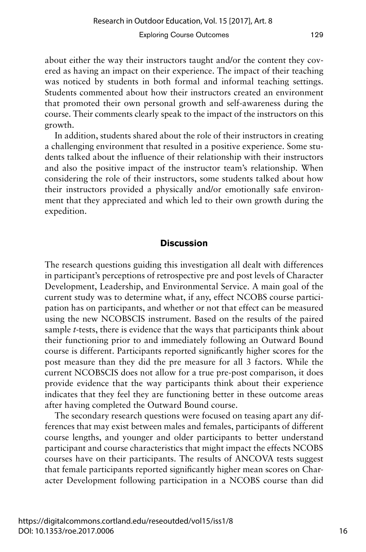about either the way their instructors taught and/or the content they covered as having an impact on their experience. The impact of their teaching was noticed by students in both formal and informal teaching settings. Students commented about how their instructors created an environment that promoted their own personal growth and self-awareness during the course. Their comments clearly speak to the impact of the instructors on this growth.

In addition, students shared about the role of their instructors in creating a challenging environment that resulted in a positive experience. Some students talked about the influence of their relationship with their instructors and also the positive impact of the instructor team's relationship. When considering the role of their instructors, some students talked about how their instructors provided a physically and/or emotionally safe environment that they appreciated and which led to their own growth during the expedition.

# **Discussion**

The research questions guiding this investigation all dealt with differences in participant's perceptions of retrospective pre and post levels of Character Development, Leadership, and Environmental Service. A main goal of the current study was to determine what, if any, effect NCOBS course participation has on participants, and whether or not that effect can be measured using the new NCOBSCIS instrument. Based on the results of the paired sample *t*-tests, there is evidence that the ways that participants think about their functioning prior to and immediately following an Outward Bound course is different. Participants reported significantly higher scores for the post measure than they did the pre measure for all 3 factors. While the current NCOBSCIS does not allow for a true pre-post comparison, it does provide evidence that the way participants think about their experience indicates that they feel they are functioning better in these outcome areas after having completed the Outward Bound course.

The secondary research questions were focused on teasing apart any differences that may exist between males and females, participants of different course lengths, and younger and older participants to better understand participant and course characteristics that might impact the effects NCOBS courses have on their participants. The results of ANCOVA tests suggest that female participants reported significantly higher mean scores on Character Development following participation in a NCOBS course than did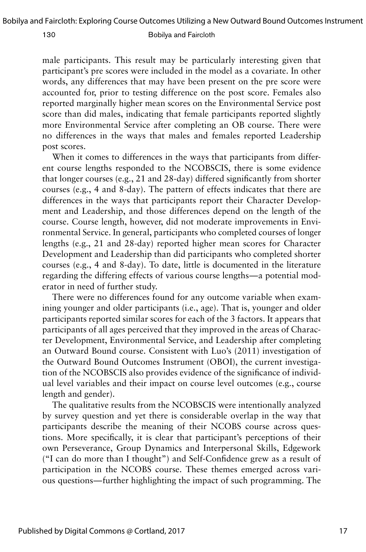male participants. This result may be particularly interesting given that participant's pre scores were included in the model as a covariate. In other words, any differences that may have been present on the pre score were accounted for, prior to testing difference on the post score. Females also reported marginally higher mean scores on the Environmental Service post score than did males, indicating that female participants reported slightly more Environmental Service after completing an OB course. There were no differences in the ways that males and females reported Leadership post scores.

When it comes to differences in the ways that participants from different course lengths responded to the NCOBSCIS, there is some evidence that longer courses (e.g., 21 and 28-day) differed significantly from shorter courses (e.g., 4 and 8-day). The pattern of effects indicates that there are differences in the ways that participants report their Character Development and Leadership, and those differences depend on the length of the course. Course length, however, did not moderate improvements in Environmental Service. In general, participants who completed courses of longer lengths (e.g., 21 and 28-day) reported higher mean scores for Character Development and Leadership than did participants who completed shorter courses (e.g., 4 and 8-day). To date, little is documented in the literature regarding the differing effects of various course lengths—a potential moderator in need of further study.

There were no differences found for any outcome variable when examining younger and older participants (i.e., age). That is, younger and older participants reported similar scores for each of the 3 factors. It appears that participants of all ages perceived that they improved in the areas of Character Development, Environmental Service, and Leadership after completing an Outward Bound course. Consistent with Luo's (2011) investigation of the Outward Bound Outcomes Instrument (OBOI), the current investigation of the NCOBSCIS also provides evidence of the significance of individual level variables and their impact on course level outcomes (e.g., course length and gender).

The qualitative results from the NCOBSCIS were intentionally analyzed by survey question and yet there is considerable overlap in the way that participants describe the meaning of their NCOBS course across questions. More specifically, it is clear that participant's perceptions of their own Perseverance, Group Dynamics and Interpersonal Skills, Edgework ("I can do more than I thought") and Self-Confidence grew as a result of participation in the NCOBS course. These themes emerged across various questions—further highlighting the impact of such programming. The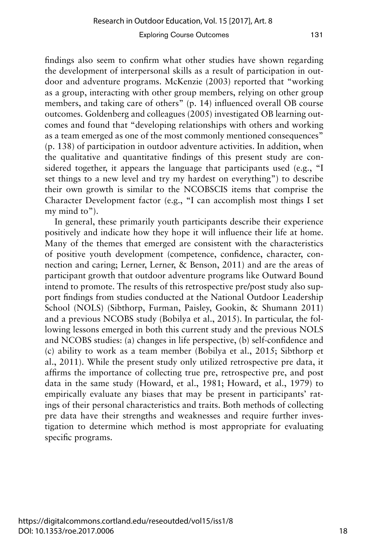findings also seem to confirm what other studies have shown regarding the development of interpersonal skills as a result of participation in outdoor and adventure programs. McKenzie (2003) reported that "working as a group, interacting with other group members, relying on other group members, and taking care of others" (p. 14) influenced overall OB course outcomes. Goldenberg and colleagues (2005) investigated OB learning outcomes and found that "developing relationships with others and working as a team emerged as one of the most commonly mentioned consequences" (p. 138) of participation in outdoor adventure activities. In addition, when the qualitative and quantitative findings of this present study are considered together, it appears the language that participants used (e.g., "I set things to a new level and try my hardest on everything") to describe their own growth is similar to the NCOBSCIS items that comprise the Character Development factor (e.g., "I can accomplish most things I set my mind to").

In general, these primarily youth participants describe their experience positively and indicate how they hope it will influence their life at home. Many of the themes that emerged are consistent with the characteristics of positive youth development (competence, confidence, character, connection and caring; Lerner, Lerner, & Benson, 2011) and are the areas of participant growth that outdoor adventure programs like Outward Bound intend to promote. The results of this retrospective pre/post study also support findings from studies conducted at the National Outdoor Leadership School (NOLS) (Sibthorp, Furman, Paisley, Gookin, & Shumann 2011) and a previous NCOBS study (Bobilya et al., 2015). In particular, the following lessons emerged in both this current study and the previous NOLS and NCOBS studies: (a) changes in life perspective, (b) self-confidence and (c) ability to work as a team member (Bobilya et al., 2015; Sibthorp et al., 2011). While the present study only utilized retrospective pre data, it affirms the importance of collecting true pre, retrospective pre, and post data in the same study (Howard, et al., 1981; Howard, et al., 1979) to empirically evaluate any biases that may be present in participants' ratings of their personal characteristics and traits. Both methods of collecting pre data have their strengths and weaknesses and require further investigation to determine which method is most appropriate for evaluating specific programs.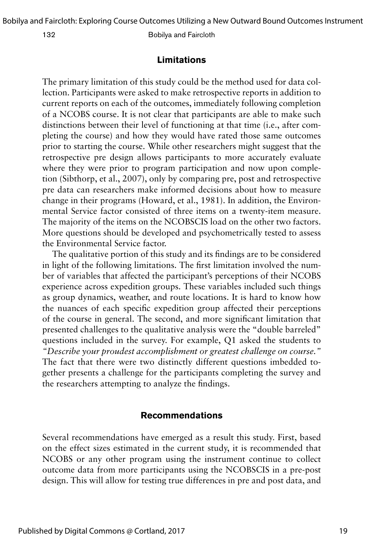# **Limitations**

The primary limitation of this study could be the method used for data collection. Participants were asked to make retrospective reports in addition to current reports on each of the outcomes, immediately following completion of a NCOBS course. It is not clear that participants are able to make such distinctions between their level of functioning at that time (i.e., after completing the course) and how they would have rated those same outcomes prior to starting the course. While other researchers might suggest that the retrospective pre design allows participants to more accurately evaluate where they were prior to program participation and now upon completion (Sibthorp, et al., 2007), only by comparing pre, post and retrospective pre data can researchers make informed decisions about how to measure change in their programs (Howard, et al., 1981). In addition, the Environmental Service factor consisted of three items on a twenty-item measure. The majority of the items on the NCOBSCIS load on the other two factors. More questions should be developed and psychometrically tested to assess the Environmental Service factor.

The qualitative portion of this study and its findings are to be considered in light of the following limitations. The first limitation involved the number of variables that affected the participant's perceptions of their NCOBS experience across expedition groups. These variables included such things as group dynamics, weather, and route locations. It is hard to know how the nuances of each specific expedition group affected their perceptions of the course in general. The second, and more significant limitation that presented challenges to the qualitative analysis were the "double barreled" questions included in the survey. For example, Q1 asked the students to *"Describe your proudest accomplishment or greatest challenge on course."*  The fact that there were two distinctly different questions imbedded together presents a challenge for the participants completing the survey and the researchers attempting to analyze the findings.

# **Recommendations**

Several recommendations have emerged as a result this study. First, based on the effect sizes estimated in the current study, it is recommended that NCOBS or any other program using the instrument continue to collect outcome data from more participants using the NCOBSCIS in a pre-post design. This will allow for testing true differences in pre and post data, and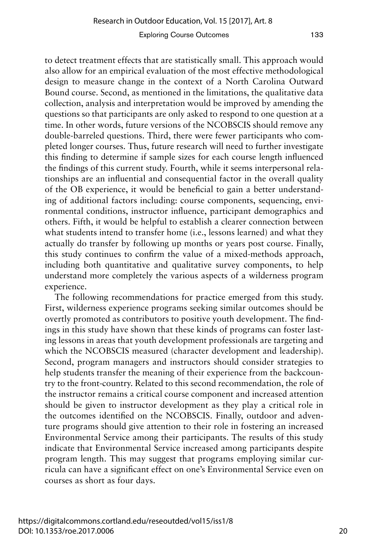to detect treatment effects that are statistically small. This approach would also allow for an empirical evaluation of the most effective methodological design to measure change in the context of a North Carolina Outward Bound course. Second, as mentioned in the limitations, the qualitative data collection, analysis and interpretation would be improved by amending the questions so that participants are only asked to respond to one question at a time. In other words, future versions of the NCOBSCIS should remove any double-barreled questions. Third, there were fewer participants who completed longer courses. Thus, future research will need to further investigate this finding to determine if sample sizes for each course length influenced the findings of this current study. Fourth, while it seems interpersonal relationships are an influential and consequential factor in the overall quality of the OB experience, it would be beneficial to gain a better understanding of additional factors including: course components, sequencing, environmental conditions, instructor influence, participant demographics and others. Fifth, it would be helpful to establish a clearer connection between what students intend to transfer home (i.e., lessons learned) and what they actually do transfer by following up months or years post course. Finally, this study continues to confirm the value of a mixed-methods approach, including both quantitative and qualitative survey components, to help understand more completely the various aspects of a wilderness program experience.

The following recommendations for practice emerged from this study. First, wilderness experience programs seeking similar outcomes should be overtly promoted as contributors to positive youth development. The findings in this study have shown that these kinds of programs can foster lasting lessons in areas that youth development professionals are targeting and which the NCOBSCIS measured (character development and leadership). Second, program managers and instructors should consider strategies to help students transfer the meaning of their experience from the backcountry to the front-country. Related to this second recommendation, the role of the instructor remains a critical course component and increased attention should be given to instructor development as they play a critical role in the outcomes identified on the NCOBSCIS. Finally, outdoor and adventure programs should give attention to their role in fostering an increased Environmental Service among their participants. The results of this study indicate that Environmental Service increased among participants despite program length. This may suggest that programs employing similar curricula can have a significant effect on one's Environmental Service even on courses as short as four days.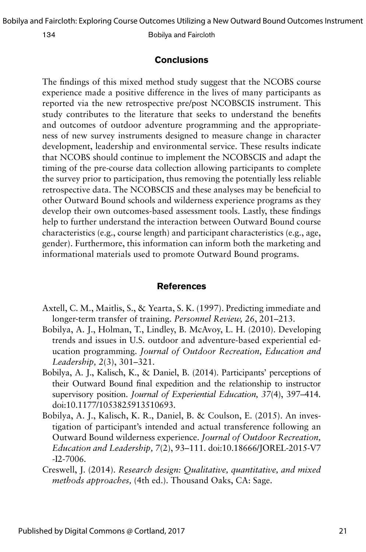Bobilya and Faircloth: Exploring Course Outcomes Utilizing a New Outward Bound Outcomes Instrument

134 Bobilya and Faircloth

# **Conclusions**

The findings of this mixed method study suggest that the NCOBS course experience made a positive difference in the lives of many participants as reported via the new retrospective pre/post NCOBSCIS instrument. This study contributes to the literature that seeks to understand the benefits and outcomes of outdoor adventure programming and the appropriateness of new survey instruments designed to measure change in character development, leadership and environmental service. These results indicate that NCOBS should continue to implement the NCOBSCIS and adapt the timing of the pre-course data collection allowing participants to complete the survey prior to participation, thus removing the potentially less reliable retrospective data. The NCOBSCIS and these analyses may be beneficial to other Outward Bound schools and wilderness experience programs as they develop their own outcomes-based assessment tools. Lastly, these findings help to further understand the interaction between Outward Bound course characteristics (e.g., course length) and participant characteristics (e.g., age, gender). Furthermore, this information can inform both the marketing and informational materials used to promote Outward Bound programs.

### **References**

- Axtell, C. M., Maitlis, S., & Yearta, S. K. (1997). Predicting immediate and longer-term transfer of training. *Personnel Review, 26*, 201–213.
- Bobilya, A. J., Holman, T., Lindley, B. McAvoy, L. H. (2010). Developing trends and issues in U.S. outdoor and adventure-based experiential education programming. *Journal of Outdoor Recreation, Education and Leadership, 2*(3), 301–321.
- Bobilya, A. J., Kalisch, K., & Daniel, B. (2014). Participants' perceptions of their Outward Bound final expedition and the relationship to instructor supervisory position. *Journal of Experiential Education, 37*(4), 397–414*.*  doi:10.1177/1053825913510693.
- Bobilya, A. J., Kalisch, K. R., Daniel, B. & Coulson, E. (2015). An investigation of participant's intended and actual transference following an Outward Bound wilderness experience. *Journal of Outdoor Recreation, Education and Leadership, 7*(2), 93–111. doi:10.18666/JOREL-2015-V7 -I2-7006.
- Creswell, J. (2014). *Research design: Qualitative, quantitative, and mixed methods approaches,* (4th ed.). Thousand Oaks, CA: Sage.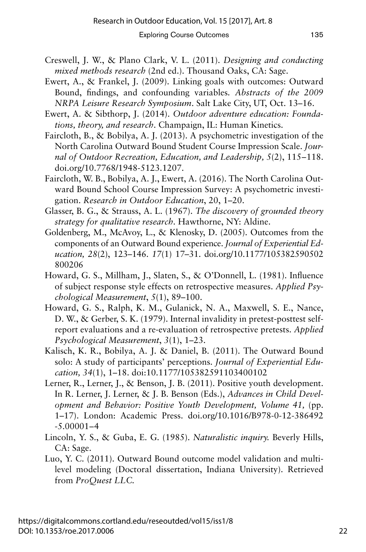- 
- Creswell, J. W., & Plano Clark, V. L. (2011). *Designing and conducting mixed methods research* (2nd ed.). Thousand Oaks, CA: Sage.
- Ewert, A., & Frankel, J. (2009). Linking goals with outcomes: Outward Bound, findings, and confounding variables*. Abstracts of the 2009 NRPA Leisure Research Symposium*. Salt Lake City, UT, Oct. 13–16.
- Ewert, A. & Sibthorp, J. (2014). *Outdoor adventure education: Foundations, theory, and research*. Champaign, IL: Human Kinetics.
- Faircloth, B., & Bobilya, A. J. (2013). A psychometric investigation of the North Carolina Outward Bound Student Course Impression Scale. *Journal of Outdoor Recreation, Education, and Leadership, 5*(2), 115–118. doi.org/10.7768/1948-5123.1207.
- Faircloth, W. B., Bobilya, A. J., Ewert, A. (2016). The North Carolina Outward Bound School Course Impression Survey: A psychometric investigation. *Research in Outdoor Education*, 20, 1–20.
- Glasser, B. G., & Strauss, A. L. (1967). *The discovery of grounded theory strategy for qualitative research.* Hawthorne, NY: Aldine.
- Goldenberg, M., McAvoy, L., & Klenosky, D. (2005). Outcomes from the components of an Outward Bound experience. *Journal of Experiential Education, 28*(2), 123–146. *17*(1) 17–31. doi.org/10.1177/105382590502 800206
- Howard, G. S., Millham, J., Slaten, S., & O'Donnell, L. (1981). Influence of subject response style effects on retrospective measures. *Applied Psychological Measurement*, *5*(1), 89–100.
- Howard, G. S., Ralph, K. M., Gulanick, N. A., Maxwell, S. E., Nance, D. W., & Gerber, S. K. (1979). Internal invalidity in pretest-posttest selfreport evaluations and a re-evaluation of retrospective pretests. *Applied Psychological Measurement*, *3*(1), 1–23.
- Kalisch, K. R., Bobilya, A. J. & Daniel, B. (2011). The Outward Bound solo: A study of participants' perceptions. *Journal of Experiential Education, 34*(1), 1–18. doi:10.1177/105382591103400102
- Lerner, R., Lerner, J., & Benson, J. B. (2011). Positive youth development. In R. Lerner, J. Lerner, & J. B. Benson (Eds.), *Advances in Child Development and Behavior: Positive Youth Development, Volume 41,* (pp. 1–17). London: Academic Press. doi.org/10.1016/B978-0-12-386492  $-5.00001 - 4$
- Lincoln, Y. S., & Guba, E. G. (1985). *Naturalistic inquiry.* Beverly Hills, CA: Sage.
- Luo, Y. C. (2011). Outward Bound outcome model validation and multilevel modeling (Doctoral dissertation, Indiana University). Retrieved from *ProQuest LLC.*